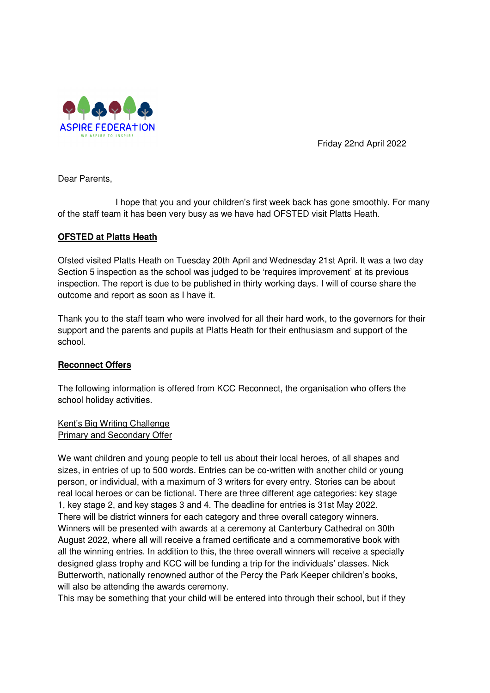

Friday 22nd April 2022

Dear Parents,

 I hope that you and your children's first week back has gone smoothly. For many of the staff team it has been very busy as we have had OFSTED visit Platts Heath.

# **OFSTED at Platts Heath**

Ofsted visited Platts Heath on Tuesday 20th April and Wednesday 21st April. It was a two day Section 5 inspection as the school was judged to be 'requires improvement' at its previous inspection. The report is due to be published in thirty working days. I will of course share the outcome and report as soon as I have it.

Thank you to the staff team who were involved for all their hard work, to the governors for their support and the parents and pupils at Platts Heath for their enthusiasm and support of the school.

## **Reconnect Offers**

The following information is offered from KCC Reconnect, the organisation who offers the school holiday activities.

## Kent's Big Writing Challenge Primary and Secondary Offer

We want children and young people to tell us about their local heroes, of all shapes and sizes, in entries of up to 500 words. Entries can be co-written with another child or young person, or individual, with a maximum of 3 writers for every entry. Stories can be about real local heroes or can be fictional. There are three different age categories: key stage 1, key stage 2, and key stages 3 and 4. The deadline for entries is 31st May 2022. There will be district winners for each category and three overall category winners. Winners will be presented with awards at a ceremony at Canterbury Cathedral on 30th August 2022, where all will receive a framed certificate and a commemorative book with all the winning entries. In addition to this, the three overall winners will receive a specially designed glass trophy and KCC will be funding a trip for the individuals' classes. Nick Butterworth, nationally renowned author of the Percy the Park Keeper children's books, will also be attending the awards ceremony.

This may be something that your child will be entered into through their school, but if they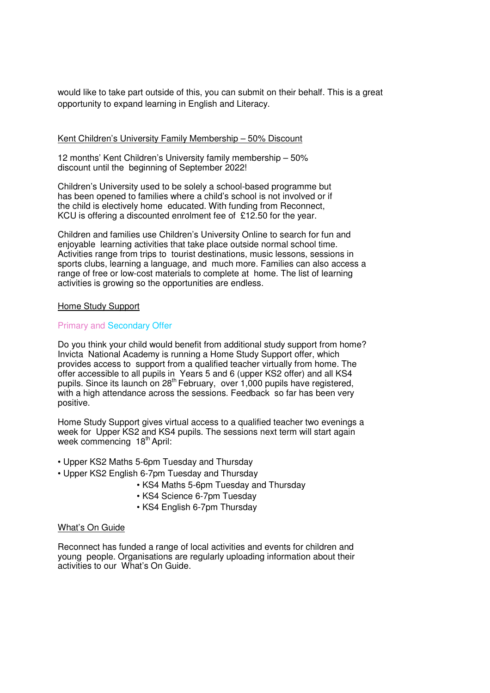would like to take part outside of this, you can submit on their behalf. This is a great opportunity to expand learning in English and Literacy.

### Kent Children's University Family Membership – 50% Discount

12 months' Kent Children's University family membership – 50% discount until the beginning of September 2022!

Children's University used to be solely a school-based programme but has been opened to families where a child's school is not involved or if the child is electively home educated. With funding from Reconnect, KCU is offering a discounted enrolment fee of £12.50 for the year.

Children and families use Children's University Online to search for fun and enjoyable learning activities that take place outside normal school time. Activities range from trips to tourist destinations, music lessons, sessions in sports clubs, learning a language, and much more. Families can also access a range of free or low-cost materials to complete at home. The list of learning activities is growing so the opportunities are endless.

#### Home Study Support

### Primary and Secondary Offer

Do you think your child would benefit from additional study support from home? Invicta National Academy is running a Home Study Support offer, which provides access to support from a qualified teacher virtually from home. The offer accessible to all pupils in Years 5 and 6 (upper KS2 offer) and all KS4 pupils. Since its launch on 28<sup>th</sup> February, over 1,000 pupils have registered, with a high attendance across the sessions. Feedback so far has been very positive.

Home Study Support gives virtual access to a qualified teacher two evenings a week for Upper KS2 and KS4 pupils. The sessions next term will start again week commencing 18<sup>th</sup> April:

- Upper KS2 Maths 5-6pm Tuesday and Thursday
- Upper KS2 English 6-7pm Tuesday and Thursday
	- KS4 Maths 5-6pm Tuesday and Thursday
	- KS4 Science 6-7pm Tuesday
	- KS4 English 6-7pm Thursday

#### What's On Guide

Reconnect has funded a range of local activities and events for children and young people. Organisations are regularly uploading information about their activities to our What's On Guide.